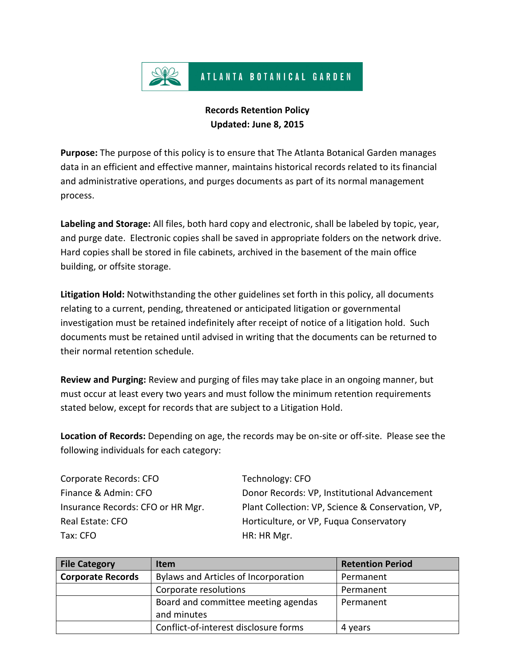

## **Records Retention Policy Updated: June 8, 2015**

**Purpose:** The purpose of this policy is to ensure that The Atlanta Botanical Garden manages data in an efficient and effective manner, maintains historical records related to its financial and administrative operations, and purges documents as part of its normal management process.

**Labeling and Storage:** All files, both hard copy and electronic, shall be labeled by topic, year, and purge date. Electronic copies shall be saved in appropriate folders on the network drive. Hard copies shall be stored in file cabinets, archived in the basement of the main office building, or offsite storage.

**Litigation Hold:** Notwithstanding the other guidelines set forth in this policy, all documents relating to a current, pending, threatened or anticipated litigation or governmental investigation must be retained indefinitely after receipt of notice of a litigation hold. Such documents must be retained until advised in writing that the documents can be returned to their normal retention schedule.

**Review and Purging:** Review and purging of files may take place in an ongoing manner, but must occur at least every two years and must follow the minimum retention requirements stated below, except for records that are subject to a Litigation Hold.

**Location of Records:** Depending on age, the records may be on-site or off-site. Please see the following individuals for each category:

Corporate Records: CFO Technology: CFO Tax: CFO **HR: HRIMGE** 

Finance & Admin: CFO **Donor Records: VP, Institutional Advancement** Insurance Records: CFO or HR Mgr. Plant Collection: VP, Science & Conservation, VP, Real Estate: CFO **Routing Conservatory** Horticulture, or VP, Fuqua Conservatory

| <b>File Category</b>     | <b>Item</b>                           | <b>Retention Period</b> |
|--------------------------|---------------------------------------|-------------------------|
| <b>Corporate Records</b> | Bylaws and Articles of Incorporation  | Permanent               |
|                          | Corporate resolutions                 | Permanent               |
|                          | Board and committee meeting agendas   | Permanent               |
|                          | and minutes                           |                         |
|                          | Conflict-of-interest disclosure forms | 4 years                 |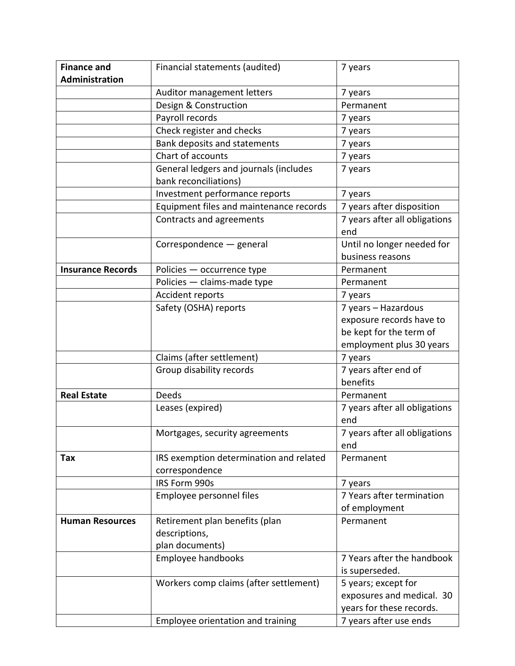| <b>Finance and</b>       | Financial statements (audited)          | 7 years                                        |
|--------------------------|-----------------------------------------|------------------------------------------------|
| <b>Administration</b>    |                                         |                                                |
|                          | Auditor management letters              | 7 years                                        |
|                          | Design & Construction                   | Permanent                                      |
|                          | Payroll records                         | 7 years                                        |
|                          | Check register and checks               | 7 years                                        |
|                          | Bank deposits and statements            | 7 years                                        |
|                          | Chart of accounts                       | 7 years                                        |
|                          | General ledgers and journals (includes  | 7 years                                        |
|                          | bank reconciliations)                   |                                                |
|                          | Investment performance reports          | 7 years                                        |
|                          | Equipment files and maintenance records | 7 years after disposition                      |
|                          | Contracts and agreements                | 7 years after all obligations<br>end           |
|                          | Correspondence - general                | Until no longer needed for<br>business reasons |
| <b>Insurance Records</b> | Policies - occurrence type              | Permanent                                      |
|                          | Policies - claims-made type             | Permanent                                      |
|                          | Accident reports                        | 7 years                                        |
|                          | Safety (OSHA) reports                   | 7 years - Hazardous                            |
|                          |                                         | exposure records have to                       |
|                          |                                         | be kept for the term of                        |
|                          |                                         | employment plus 30 years                       |
|                          | Claims (after settlement)               | 7 years                                        |
|                          | Group disability records                | 7 years after end of                           |
|                          |                                         | benefits                                       |
| <b>Real Estate</b>       | Deeds                                   | Permanent                                      |
|                          | Leases (expired)                        | 7 years after all obligations<br>end           |
|                          | Mortgages, security agreements          | 7 years after all obligations<br>end           |
| Tax                      | IRS exemption determination and related | Permanent                                      |
|                          | correspondence                          |                                                |
|                          | IRS Form 990s                           | 7 years                                        |
|                          | Employee personnel files                | 7 Years after termination                      |
|                          |                                         | of employment                                  |
| <b>Human Resources</b>   | Retirement plan benefits (plan          | Permanent                                      |
|                          | descriptions,                           |                                                |
|                          | plan documents)                         |                                                |
|                          | Employee handbooks                      | 7 Years after the handbook                     |
|                          |                                         | is superseded.                                 |
|                          | Workers comp claims (after settlement)  | 5 years; except for                            |
|                          |                                         | exposures and medical. 30                      |
|                          |                                         | years for these records.                       |
|                          | Employee orientation and training       | 7 years after use ends                         |